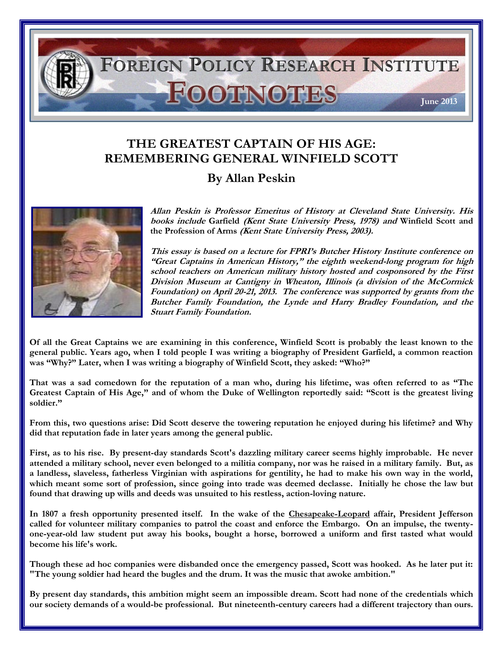

## **THE GREATEST CAPTAIN OF HIS AGE: REMEMBERING GENERAL WINFIELD SCOTT**

## **By Allan Peskin**



**Allan Peskin is Professor Emeritus of History at Cleveland State University. His books include Garfield (Kent State University Press, 1978) and Winfield Scott and the Profession of Arms (Kent State University Press, 2003).**

**This essay is based on a lecture for FPRI's Butcher History Institute conference on "Great Captains in American History," the eighth weekend-long program for high school teachers on American military history hosted and cosponsored by the First Division Museum at Cantigny in Wheaton, Illinois (a division of the McCormick Foundation) on April 20-21, 2013. The conference was supported by grants from the Butcher Family Foundation, the Lynde and Harry Bradley Foundation, and the Stuart Family Foundation.** 

**Of all the Great Captains we are examining in this conference, Winfield Scott is probably the least known to the general public. Years ago, when I told people I was writing a biography of President Garfield, a common reaction was "Why?" Later, when I was writing a biography of Winfield Scott, they asked: "Who?"**

**That was a sad comedown for the reputation of a man who, during his lifetime, was often referred to as "The Greatest Captain of His Age," and of whom the Duke of Wellington reportedly said: "Scott is the greatest living soldier."**

**From this, two questions arise: Did Scott deserve the towering reputation he enjoyed during his lifetime? and Why did that reputation fade in later years among the general public.**

**First, as to his rise. By present-day standards Scott's dazzling military career seems highly improbable. He never attended a military school, never even belonged to a militia company, nor was he raised in a military family. But, as a landless, slaveless, fatherless Virginian with aspirations for gentility, he had to make his own way in the world, which meant some sort of profession, since going into trade was deemed declasse. Initially he chose the law but found that drawing up wills and deeds was unsuited to his restless, action-loving nature.**

**In 1807 a fresh opportunity presented itself. In the wake of the Chesapeake-Leopard affair, President Jefferson called for volunteer military companies to patrol the coast and enforce the Embargo. On an impulse, the twentyone-year-old law student put away his books, bought a horse, borrowed a uniform and first tasted what would become his life's work.**

**Though these ad hoc companies were disbanded once the emergency passed, Scott was hooked. As he later put it: "The young soldier had heard the bugles and the drum. It was the music that awoke ambition."**

**By present day standards, this ambition might seem an impossible dream. Scott had none of the credentials which our society demands of a would-be professional. But nineteenth-century careers had a different trajectory than ours.**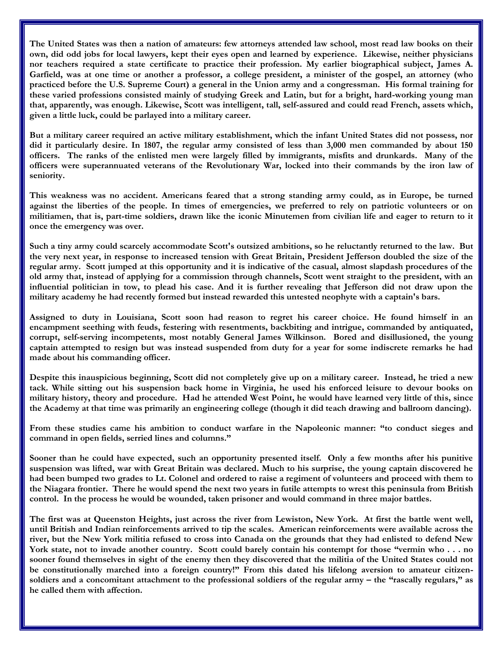**The United States was then a nation of amateurs: few attorneys attended law school, most read law books on their own, did odd jobs for local lawyers, kept their eyes open and learned by experience. Likewise, neither physicians nor teachers required a state certificate to practice their profession. My earlier biographical subject, James A. Garfield, was at one time or another a professor, a college president, a minister of the gospel, an attorney (who practiced before the U.S. Supreme Court) a general in the Union army and a congressman. His formal training for these varied professions consisted mainly of studying Greek and Latin, but for a bright, hard-working young man that, apparently, was enough. Likewise, Scott was intelligent, tall, self-assured and could read French, assets which, given a little luck, could be parlayed into a military career.**

**But a military career required an active military establishment, which the infant United States did not possess, nor did it particularly desire. In 1807, the regular army consisted of less than 3,000 men commanded by about 150 officers. The ranks of the enlisted men were largely filled by immigrants, misfits and drunkards. Many of the officers were superannuated veterans of the Revolutionary War, locked into their commands by the iron law of seniority.**

**This weakness was no accident. Americans feared that a strong standing army could, as in Europe, be turned against the liberties of the people. In times of emergencies, we preferred to rely on patriotic volunteers or on militiamen, that is, part-time soldiers, drawn like the iconic Minutemen from civilian life and eager to return to it once the emergency was over.**

**Such a tiny army could scarcely accommodate Scott's outsized ambitions, so he reluctantly returned to the law. But the very next year, in response to increased tension with Great Britain, President Jefferson doubled the size of the regular army. Scott jumped at this opportunity and it is indicative of the casual, almost slapdash procedures of the old army that, instead of applying for a commission through channels, Scott went straight to the president, with an influential politician in tow, to plead his case. And it is further revealing that Jefferson did not draw upon the military academy he had recently formed but instead rewarded this untested neophyte with a captain's bars.**

**Assigned to duty in Louisiana, Scott soon had reason to regret his career choice. He found himself in an encampment seething with feuds, festering with resentments, backbiting and intrigue, commanded by antiquated, corrupt, self-serving incompetents, most notably General James Wilkinson. Bored and disillusioned, the young captain attempted to resign but was instead suspended from duty for a year for some indiscrete remarks he had made about his commanding officer.**

**Despite this inauspicious beginning, Scott did not completely give up on a military career. Instead, he tried a new tack. While sitting out his suspension back home in Virginia, he used his enforced leisure to devour books on military history, theory and procedure. Had he attended West Point, he would have learned very little of this, since the Academy at that time was primarily an engineering college (though it did teach drawing and ballroom dancing).**

**From these studies came his ambition to conduct warfare in the Napoleonic manner: "to conduct sieges and command in open fields, serried lines and columns."**

**Sooner than he could have expected, such an opportunity presented itself. Only a few months after his punitive suspension was lifted, war with Great Britain was declared. Much to his surprise, the young captain discovered he had been bumped two grades to Lt. Colonel and ordered to raise a regiment of volunteers and proceed with them to the Niagara frontier. There he would spend the next two years in futile attempts to wrest this peninsula from British control. In the process he would be wounded, taken prisoner and would command in three major battles.**

**The first was at Queenston Heights, just across the river from Lewiston, New York. At first the battle went well, until British and Indian reinforcements arrived to tip the scales. American reinforcements were available across the river, but the New York militia refused to cross into Canada on the grounds that they had enlisted to defend New York state, not to invade another country. Scott could barely contain his contempt for those "vermin who . . . no sooner found themselves in sight of the enemy then they discovered that the militia of the United States could not be constitutionally marched into a foreign country!" From this dated his lifelong aversion to amateur citizensoldiers and a concomitant attachment to the professional soldiers of the regular army – the "rascally regulars," as he called them with affection.**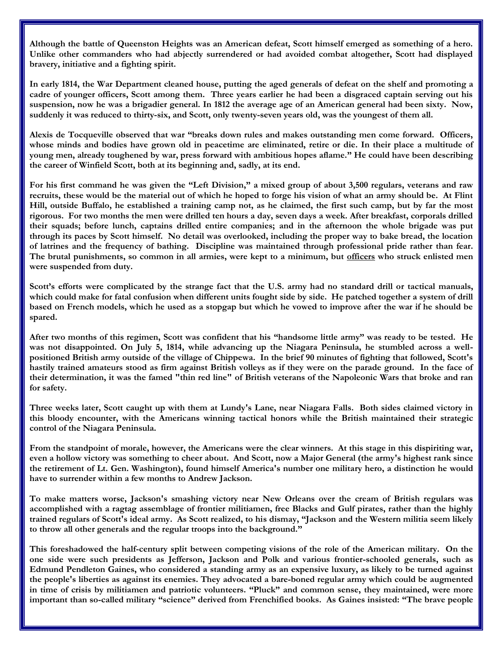**Although the battle of Queenston Heights was an American defeat, Scott himself emerged as something of a hero. Unlike other commanders who had abjectly surrendered or had avoided combat altogether, Scott had displayed bravery, initiative and a fighting spirit.**

**In early 1814, the War Department cleaned house, putting the aged generals of defeat on the shelf and promoting a cadre of younger officers, Scott among them. Three years earlier he had been a disgraced captain serving out his suspension, now he was a brigadier general. In 1812 the average age of an American general had been sixty. Now, suddenly it was reduced to thirty-six, and Scott, only twenty-seven years old, was the youngest of them all.**

**Alexis de Tocqueville observed that war "breaks down rules and makes outstanding men come forward. Officers, whose minds and bodies have grown old in peacetime are eliminated, retire or die. In their place a multitude of young men, already toughened by war, press forward with ambitious hopes aflame." He could have been describing the career of Winfield Scott, both at its beginning and, sadly, at its end.**

**For his first command he was given the "Left Division," a mixed group of about 3,500 regulars, veterans and raw recruits, these would be the material out of which he hoped to forge his vision of what an army should be. At Flint Hill, outside Buffalo, he established a training camp not, as he claimed, the first such camp, but by far the most rigorous. For two months the men were drilled ten hours a day, seven days a week. After breakfast, corporals drilled their squads; before lunch, captains drilled entire companies; and in the afternoon the whole brigade was put through its paces by Scott himself. No detail was overlooked, including the proper way to bake bread, the location of latrines and the frequency of bathing. Discipline was maintained through professional pride rather than fear. The brutal punishments, so common in all armies, were kept to a minimum, but officers who struck enlisted men were suspended from duty.**

**Scott's efforts were complicated by the strange fact that the U.S. army had no standard drill or tactical manuals, which could make for fatal confusion when different units fought side by side. He patched together a system of drill based on French models, which he used as a stopgap but which he vowed to improve after the war if he should be spared.**

**After two months of this regimen, Scott was confident that his "handsome little army" was ready to be tested. He was not disappointed. On July 5, 1814, while advancing up the Niagara Peninsula, he stumbled across a wellpositioned British army outside of the village of Chippewa. In the brief 90 minutes of fighting that followed, Scott's hastily trained amateurs stood as firm against British volleys as if they were on the parade ground. In the face of their determination, it was the famed "thin red line" of British veterans of the Napoleonic Wars that broke and ran for safety.**

**Three weeks later, Scott caught up with them at Lundy's Lane, near Niagara Falls. Both sides claimed victory in this bloody encounter, with the Americans winning tactical honors while the British maintained their strategic control of the Niagara Peninsula.**

**From the standpoint of morale, however, the Americans were the clear winners. At this stage in this dispiriting war, even a hollow victory was something to cheer about. And Scott, now a Major General (the army's highest rank since the retirement of Lt. Gen. Washington), found himself America's number one military hero, a distinction he would have to surrender within a few months to Andrew Jackson.**

**To make matters worse, Jackson's smashing victory near New Orleans over the cream of British regulars was accomplished with a ragtag assemblage of frontier militiamen, free Blacks and Gulf pirates, rather than the highly trained regulars of Scott's ideal army. As Scott realized, to his dismay, "Jackson and the Western militia seem likely to throw all other generals and the regular troops into the background."**

**This foreshadowed the half-century split between competing visions of the role of the American military. On the one side were such presidents as Jefferson, Jackson and Polk and various frontier-schooled generals, such as Edmund Pendleton Gaines, who considered a standing army as an expensive luxury, as likely to be turned against the people's liberties as against its enemies. They advocated a bare-boned regular army which could be augmented in time of crisis by militiamen and patriotic volunteers. "Pluck" and common sense, they maintained, were more important than so-called military "science" derived from Frenchified books. As Gaines insisted: "The brave people**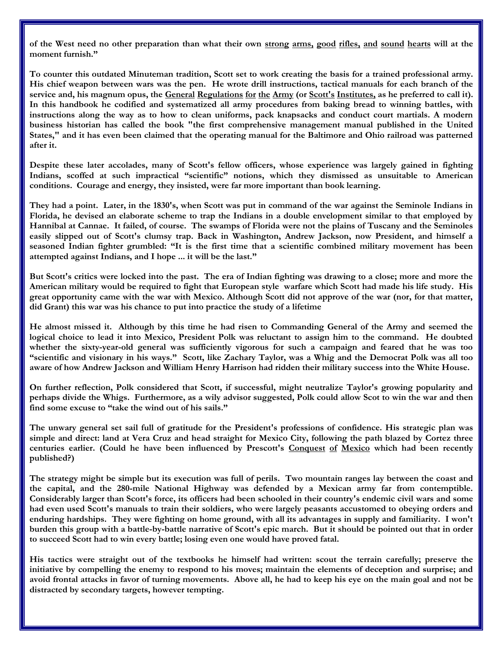**of the West need no other preparation than what their own strong arms, good rifles, and sound hearts will at the moment furnish."** 

**To counter this outdated Minuteman tradition, Scott set to work creating the basis for a trained professional army. His chief weapon between wars was the pen. He wrote drill instructions, tactical manuals for each branch of the service and, his magnum opus, the General Regulations for the Army (or Scott's Institutes, as he preferred to call it). In this handbook he codified and systematized all army procedures from baking bread to winning battles, with instructions along the way as to how to clean uniforms, pack knapsacks and conduct court martials. A modern business historian has called the book "the first comprehensive management manual published in the United States," and it has even been claimed that the operating manual for the Baltimore and Ohio railroad was patterned after it.**

**Despite these later accolades, many of Scott's fellow officers, whose experience was largely gained in fighting Indians, scoffed at such impractical "scientific" notions, which they dismissed as unsuitable to American conditions. Courage and energy, they insisted, were far more important than book learning.** 

**They had a point. Later, in the 1830's, when Scott was put in command of the war against the Seminole Indians in Florida, he devised an elaborate scheme to trap the Indians in a double envelopment similar to that employed by Hannibal at Cannae. It failed, of course. The swamps of Florida were not the plains of Tuscany and the Seminoles easily slipped out of Scott's clumsy trap. Back in Washington, Andrew Jackson, now President, and himself a seasoned Indian fighter grumbled: "It is the first time that a scientific combined military movement has been attempted against Indians, and I hope ... it will be the last."** 

**But Scott's critics were locked into the past. The era of Indian fighting was drawing to a close; more and more the American military would be required to fight that European style warfare which Scott had made his life study. His great opportunity came with the war with Mexico. Although Scott did not approve of the war (nor, for that matter, did Grant) this war was his chance to put into practice the study of a lifetime**

**He almost missed it. Although by this time he had risen to Commanding General of the Army and seemed the logical choice to lead it into Mexico, President Polk was reluctant to assign him to the command. He doubted whether the sixty-year-old general was sufficiently vigorous for such a campaign and feared that he was too "scientific and visionary in his ways." Scott, like Zachary Taylor, was a Whig and the Democrat Polk was all too aware of how Andrew Jackson and William Henry Harrison had ridden their military success into the White House.**

**On further reflection, Polk considered that Scott, if successful, might neutralize Taylor's growing popularity and perhaps divide the Whigs. Furthermore, as a wily advisor suggested, Polk could allow Scot to win the war and then find some excuse to "take the wind out of his sails."**

**The unwary general set sail full of gratitude for the President's professions of confidence. His strategic plan was simple and direct: land at Vera Cruz and head straight for Mexico City, following the path blazed by Cortez three centuries earlier. (Could he have been influenced by Prescott's Conquest of Mexico which had been recently published?)**

**The strategy might be simple but its execution was full of perils. Two mountain ranges lay between the coast and the capital, and the 280-mile National Highway was defended by a Mexican army far from contemptible. Considerably larger than Scott's force, its officers had been schooled in their country's endemic civil wars and some had even used Scott's manuals to train their soldiers, who were largely peasants accustomed to obeying orders and enduring hardships. They were fighting on home ground, with all its advantages in supply and familiarity. I won't burden this group with a battle-by-battle narrative of Scott's epic march. But it should be pointed out that in order to succeed Scott had to win every battle; losing even one would have proved fatal.**

**His tactics were straight out of the textbooks he himself had written: scout the terrain carefully; preserve the initiative by compelling the enemy to respond to his moves; maintain the elements of deception and surprise; and avoid frontal attacks in favor of turning movements. Above all, he had to keep his eye on the main goal and not be distracted by secondary targets, however tempting.**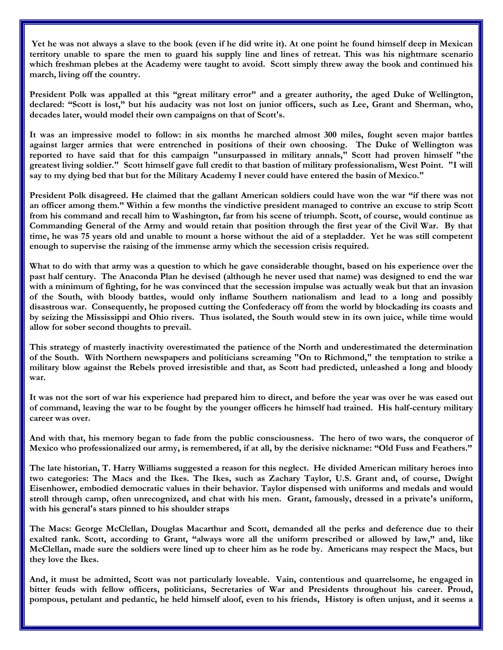**Yet he was not always a slave to the book (even if he did write it). At one point he found himself deep in Mexican territory unable to spare the men to guard his supply line and lines of retreat. This was his nightmare scenario which freshman plebes at the Academy were taught to avoid. Scott simply threw away the book and continued his march, living off the country.**

**President Polk was appalled at this "great military error" and a greater authority, the aged Duke of Wellington, declared: "Scott is lost," but his audacity was not lost on junior officers, such as Lee, Grant and Sherman, who, decades later, would model their own campaigns on that of Scott's.**

**It was an impressive model to follow: in six months he marched almost 300 miles, fought seven major battles against larger armies that were entrenched in positions of their own choosing. The Duke of Wellington was reported to have said that for this campaign "unsurpassed in military annals," Scott had proven himself "the greatest living soldier." Scott himself gave full credit to that bastion of military professionalism, West Point. "I will say to my dying bed that but for the Military Academy I never could have entered the basin of Mexico."**

**President Polk disagreed. He claimed that the gallant American soldiers could have won the war "if there was not an officer among them." Within a few months the vindictive president managed to contrive an excuse to strip Scott from his command and recall him to Washington, far from his scene of triumph. Scott, of course, would continue as Commanding General of the Army and would retain that position through the first year of the Civil War. By that time, he was 75 years old and unable to mount a horse without the aid of a stepladder. Yet he was still competent enough to supervise the raising of the immense army which the secession crisis required.**

What to do with that army was a question to which he gave considerable thought, based on his experience over the **past half century. The Anaconda Plan he devised (although he never used that name) was designed to end the war with a minimum of fighting, for he was convinced that the secession impulse was actually weak but that an invasion of the South, with bloody battles, would only inflame Southern nationalism and lead to a long and possibly disastrous war. Consequently, he proposed cutting the Confederacy off from the world by blockading its coasts and by seizing the Mississippi and Ohio rivers. Thus isolated, the South would stew in its own juice, while time would allow for sober second thoughts to prevail.**

**This strategy of masterly inactivity overestimated the patience of the North and underestimated the determination of the South. With Northern newspapers and politicians screaming "On to Richmond," the temptation to strike a military blow against the Rebels proved irresistible and that, as Scott had predicted, unleashed a long and bloody war.**

**It was not the sort of war his experience had prepared him to direct, and before the year was over he was eased out of command, leaving the war to be fought by the younger officers he himself had trained. His half-century military career was over.**

**And with that, his memory began to fade from the public consciousness. The hero of two wars, the conqueror of Mexico who professionalized our army, is remembered, if at all, by the derisive nickname: "Old Fuss and Feathers."** 

**The late historian, T. Harry Williams suggested a reason for this neglect. He divided American military heroes into two categories: The Macs and the Ikes. The Ikes, such as Zachary Taylor, U.S. Grant and, of course, Dwight Eisenhower, embodied democratic values in their behavior. Taylor dispensed with uniforms and medals and would stroll through camp, often unrecognized, and chat with his men. Grant, famously, dressed in a private's uniform, with his general's stars pinned to his shoulder straps**

**The Macs: George McClellan, Douglas Macarthur and Scott, demanded all the perks and deference due to their exalted rank. Scott, according to Grant, "always wore all the uniform prescribed or allowed by law," and, like McClellan, made sure the soldiers were lined up to cheer him as he rode by. Americans may respect the Macs, but they love the Ikes.**

**And, it must be admitted, Scott was not particularly loveable. Vain, contentious and quarrelsome, he engaged in bitter feuds with fellow officers, politicians, Secretaries of War and Presidents throughout his career. Proud, pompous, petulant and pedantic, he held himself aloof, even to his friends, History is often unjust, and it seems a**